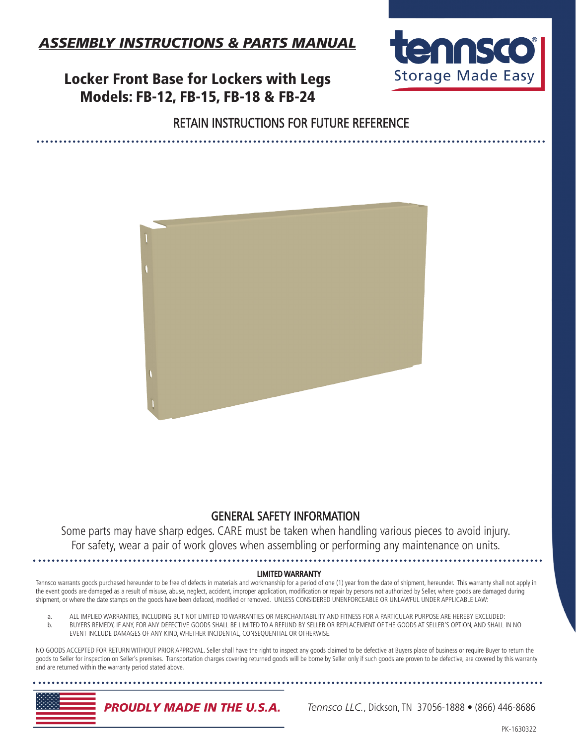*Tennsco LLC.*, Dickson, TN 37056-1888 • (866) 446-8686

*ASSEMBLY INSTRUCTIONS & PARTS MANUAL*

## Locker Front Base for Lockers with Legs Models: FB-12, FB-15, FB-18 & FB-24

RETAIN INSTRUCTIONS FOR FUTURE REFERENCE



Some parts may have sharp edges. CARE must be taken when handling various pieces to avoid injury. For safety, wear a pair of work gloves when assembling or performing any maintenance on units.

## LIMITED WARRANTY

Tennsco warrants goods purchased hereunder to be free of defects in materials and workmanship for a period of one (1) year from the date of shipment, hereunder. This warranty shall not apply in the event goods are damaged as a result of misuse, abuse, neglect, accident, improper application, modification or repair by persons not authorized by Seller, where goods are damaged during shipment, or where the date stamps on the goods have been defaced, modified or removed. UNLESS CONSIDERED UNENFORCEABLE OR UNLAWFUL UNDER APPLICABLE LAW:

 a. ALL IMPLIED WARRANTIES, INCLUDING BUT NOT LIMITED TO WARRANTIES OR MERCHANTABILITY AND FITNESS FOR A PARTICULAR PURPOSE ARE HEREBY EXCLUDED: b. BUYERS REMEDY, IF ANY, FOR ANY DEFECTIVE GOODS SHALL BE LIMITED TO A REFUND BY SELLER OR REPLACEMENT OF THE GOODS AT SELLER'S OPTION, AND SHALL IN NO EVENT INCLUDE DAMAGES OF ANY KIND, WHETHER INCIDENTAL, CONSEQUENTIAL OR OTHERWISE.

NO GOODS ACCEPTED FOR RETURN WITHOUT PRIOR APPROVAL. Seller shall have the right to inspect any goods claimed to be defective at Buyers place of business or require Buyer to return the goods to Seller for inspection on Seller's premises. Transportation charges covering returned goods will be borne by Seller only if such goods are proven to be defective, are covered by this warranty and are returned within the warranty period stated above.